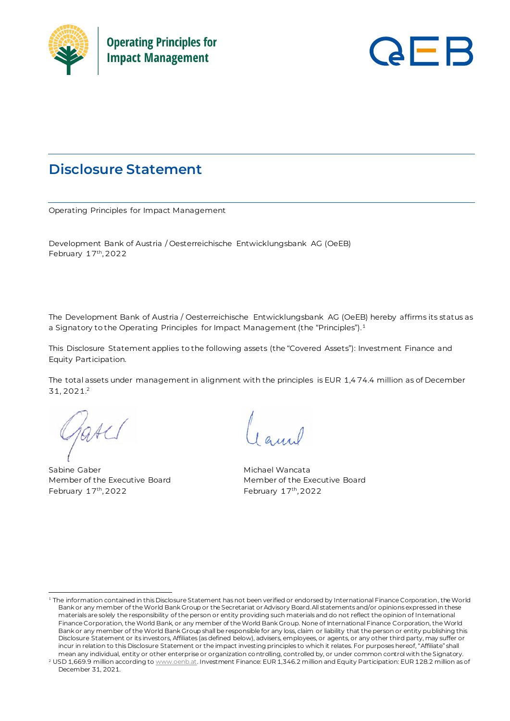



# **Disclosure Statement**

Operating Principles for Impact Management

Development Bank of Austria / Oesterreichische Entwicklungsbank AG (OeEB) February 17<sup>th</sup>, 2022

The Development Bank of Austria / Oesterreichische Entwicklungsbank AG (OeEB) hereby affirms its status as a Signatory to the Operating Principles for Impact Management (the "Principles").<sup>1</sup>

This Disclosure Statement applies to the following assets (the "Covered Assets"): Investment Finance and Equity Participation.

The total assets under management in alignment with the principles is EUR 1,474.4 million as of December 31, 2021. 2

Sabine Gaber Michael Wancata Member of the Executive Board Member of the Executive Board February 17th, 2022

th, 2022 February 17 th, 2022

<sup>1</sup> The information contained in this Disclosure Statement has not been verified or endorsed by International Finance Corporation, the World Bank or any member of the World Bank Group or the Secretariat or Advisory Board. All statements and/or opinions expressed in these materials are solely the responsibility of the person or entity providing such materials and do not reflect the opinion of International Finance Corporation, the World Bank, or any member of the World Bank Group. None of International Finance Corporation, the World Bank or any member of the World Bank Group shall be responsible for any loss, claim or liability that the person or entity publishing this Disclosure Statement or its investors, Affiliates (as defined below), advisers, employees, or agents, or any other third party, may suffer or incur in relation to this Disclosure Statement or the impact investing principles to which it relates. For purposes hereof, "Affiliate" shall mean any individual, entity or other enterprise or organization controlling, controlled by, or under common control with the Signatory.

<sup>&</sup>lt;sup>2</sup> USD 1,669.9 million according t[o www.oenb.at](http://www.oenb.at/). Investment Finance: EUR 1,346.2 million and Equity Participation: EUR 128.2 million as of December 31, 2021.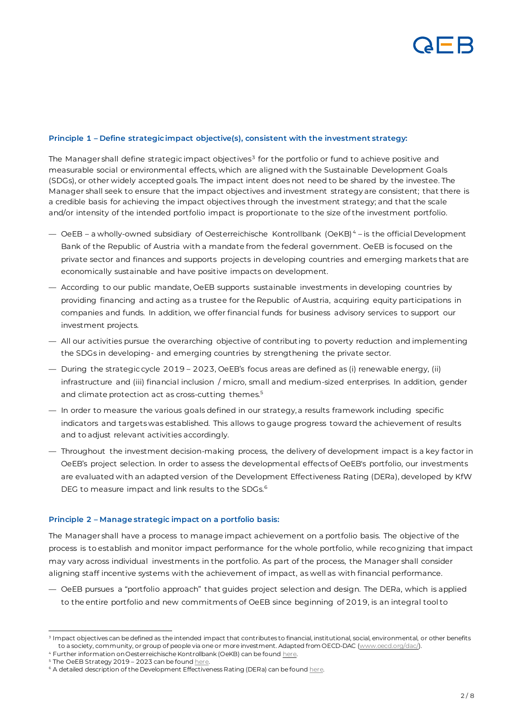

### **Principle 1 – Define strategic impact objective(s), consistent with the investment strategy:**

The Manager shall define strategic impact objectives $^3$  for the portfolio or fund to achieve positive and measurable social or environmental effects, which are aligned with the Sustainable Development Goals (SDGs), or other widely accepted goals. The impact intent does not need to be shared by the investee. The Manager shall seek to ensure that the impact objectives and investment strategy are consistent; that there is a credible basis for achieving the impact objectives through the investment strategy; and that the scale and/or intensity of the intended portfolio impact is proportionate to the size of the investment portfolio.

- OeEB a wholly-owned subsidiary of Oesterreichische Kontrollbank (OeKB) <sup>4</sup> is the official Development Bank of the Republic of Austria with a mandate from the federal government. OeEB is focused on the private sector and finances and supports projects in developing countries and emerging markets that are economically sustainable and have positive impacts on development.
- According to our public mandate, OeEB supports sustainable investments in developing countries by providing financing and acting as a trustee for the Republic of Austria, acquiring equity participations in companies and funds. In addition, we offer financial funds for business advisory services to support our investment projects.
- All our activities pursue the overarching objective of contribut ing to poverty reduction and implementing the SDGs in developing- and emerging countries by strengthening the private sector.
- During the strategic cycle 2019 2023, OeEB's focus areas are defined as (i) renewable energy, (ii) infrastructure and (iii) financial inclusion / micro, small and medium-sized enterprises. In addition, gender and climate protection act as cross-cutting themes.<sup>5</sup>
- In order to measure the various goals defined in our strategy, a results framework including specific indicators and targets was established. This allows to gauge progress toward the achievement of results and to adjust relevant activities accordingly.
- Throughout the investment decision-making process, the delivery of development impact is a key factor in OeEB's project selection. In order to assess the developmental effects of OeEB's portfolio, our investments are evaluated with an adapted version of the Development Effectiveness Rating (DERa), developed by KfW DEG to measure impact and link results to the SDGs.<sup>6</sup>

### **Principle 2 – Manage strategic impact on a portfolio basis:**

The Manager shall have a process to manage impact achievement on a portfolio basis. The objective of the process is to establish and monitor impact performance for the whole portfolio, while recognizing that impact may vary across individual investments in the portfolio. As part of the process, the Manager shall consider aligning staff incentive systems with the achievement of impact, as well as with financial performance.

— OeEB pursues a "portfolio approach" that guides project selection and design. The DERa, which is applied to the entire portfolio and new commitments of OeEB since beginning of 2019, is an integral tool to

<sup>3</sup> Impact objectives can be defined as the intended impact that contributes to financial, institutional, social, environmental, or other benefits to a society, community, or group of people via one or more investment. Adapted from OECD-DA[C \(www.oecd.org/dac/](http://www.oecd.org/dac/)).

 $^4$  Further information on Oesterreichische Kontrollbank (OeKB) can be found  $_{\rm here.}$ 

<sup>&</sup>lt;sup>5</sup> The OeEB Strategy 2019 - 2023 can be foun[d here.](https://www.oe-eb.at/dam/jcr:68e07d06-c3d9-42f3-b6b1-df90c70def56/OeEB%20Strategy%202019%20-%202023%20Financing%20our%20Shared%20Future.pdf)

<sup>&</sup>lt;sup>6</sup> A detailed description of the Development Effectiveness Rating (DERa) can be foun[d here.](https://www.oe-eb.at/dam/jcr:a50f905b-238e-4012-907d-296f0b225b81/Development-Effectiveness-Rating-DERa_EN.pdf)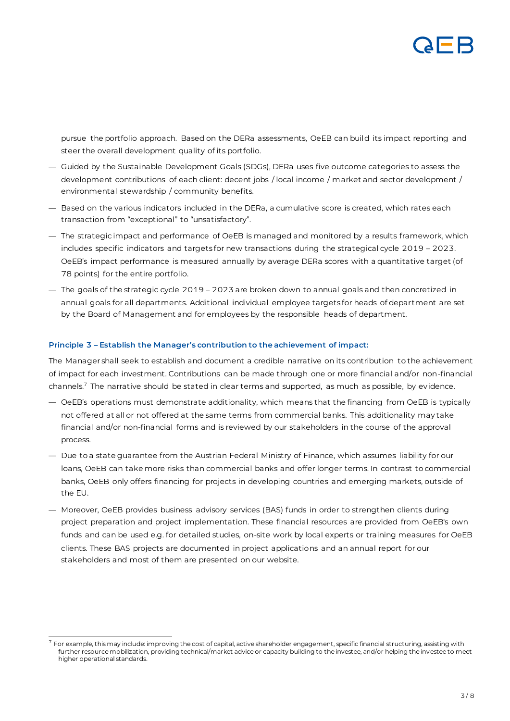

pursue the portfolio approach. Based on the DERa assessments, OeEB can build its impact reporting and steer the overall development quality of its portfolio.

- Guided by the Sustainable Development Goals (SDGs), DERa uses five outcome categories to assess the development contributions of each client: decent jobs / local income / market and sector development / environmental stewardship / community benefits.
- Based on the various indicators included in the DERa, a cumulative score is created, which rates each transaction from "exceptional" to "unsatisfactory".
- The strategic impact and performance of OeEB is managed and monitored by a results framework, which includes specific indicators and targets for new transactions during the strategical cycle 2019 – 2023. OeEB's impact performance is measured annually by average DERa scores with a quantitative target (of 78 points) for the entire portfolio.
- The goals of the strategic cycle 2019 2023 are broken down to annual goals and then concretized in annual goals for all departments. Additional individual employee targets for heads of department are set by the Board of Management and for employees by the responsible heads of department.

# **Principle 3 – Establish the Manager's contribution to the achievement of impact:**

The Manager shall seek to establish and document a credible narrative on its contribution to the achievement of impact for each investment. Contributions can be made through one or more financial and/or non-financial channels.<sup>7</sup> The narrative should be stated in clear terms and supported, as much as possible, by evidence.

- OeEB's operations must demonstrate additionality, which means that the financing from OeEB is typically not offered at all or not offered at the same terms from commercial banks. This additionality may take financial and/or non-financial forms and is reviewed by our stakeholders in the course of the approval process.
- Due to a state guarantee from the Austrian Federal Ministry of Finance, which assumes liability for our loans, OeEB can take more risks than commercial banks and offer longer terms. In contrast to commercial banks, OeEB only offers financing for projects in developing countries and emerging markets, outside of the EU.
- Moreover, OeEB provides business advisory services (BAS) funds in order to strengthen clients during project preparation and project implementation. These financial resources are provided from OeEB's own funds and can be used e.g. for detailed studies, on-site work by local experts or training measures for OeEB clients. These BAS projects are documented in project applications and an annual report for our stakeholders and most of them are presented on our website.

 $^7$  For example, this may include: improving the cost of capital, active shareholder engagement, specific financial structuring, assisting with further resource mobilization, providing technical/market advice or capacity building to the investee, and/or helping the investee to meet higher operational standards.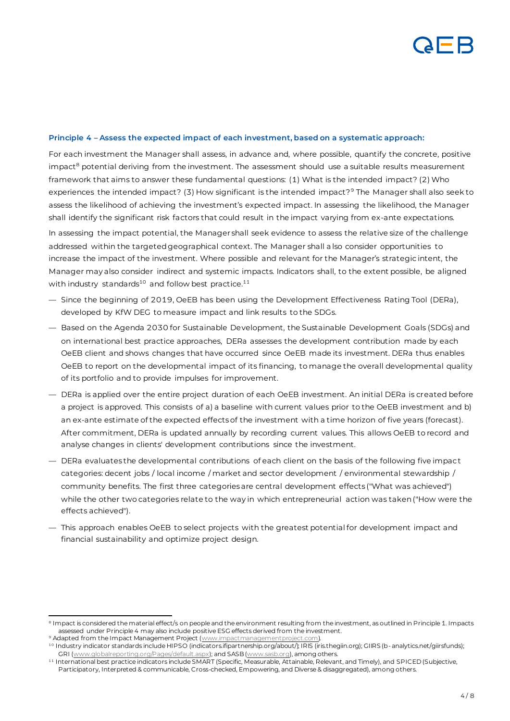# **Principle 4 – Assess the expected impact of each investment, based on a systematic approach:**

For each investment the Manager shall assess, in advance and, where possible, quantify the concrete, positive impact<sup>8</sup> potential deriving from the investment. The assessment should use a suitable results measurement framework that aims to answer these fundamental questions: (1) What is the intended impact? (2) Who experiences the intended impact? (3) How significant is the intended impact?<sup>9</sup> The Manager shall also seek to assess the likelihood of achieving the investment's expected impact. In assessing the likelihood, the Manager shall identify the significant risk factors that could result in the impact varying from ex-ante expectations.

In assessing the impact potential, the Manager shall seek evidence to assess the relative size of the challenge addressed within the targeted geographical context. The Manager shall a lso consider opportunities to increase the impact of the investment. Where possible and relevant for the Manager's strategic intent, the Manager may also consider indirect and systemic impacts. Indicators shall, to the extent possible, be aligned with industry standards $10$  and follow best practice. $11$ 

- Since the beginning of 2019, OeEB has been using the Development Effectiveness Rating Tool (DERa), developed by KfW DEG to measure impact and link results to the SDGs.
- Based on the Agenda 2030 for Sustainable Development, the Sustainable Development Goals (SDGs) and on international best practice approaches, DERa assesses the development contribution made by each OeEB client and shows changes that have occurred since OeEB made its investment. DERa thus enables OeEB to report on the developmental impact of its financing, to manage the overall developmental quality of its portfolio and to provide impulses for improvement.
- DERa is applied over the entire project duration of each OeEB investment. An initial DERa is created before a project is approved. This consists of a) a baseline with current values prior to the OeEB investment and b) an ex-ante estimate of the expected effects of the investment with a time horizon of five years (forecast). After commitment, DERa is updated annually by recording current values. This allows OeEB to record and analyse changes in clients' development contributions since the investment.
- DERa evaluates the developmental contributions of each client on the basis of the following five impact categories: decent jobs / local income / market and sector development / environmental stewardship / community benefits. The first three categories are central development effects ("What was achieved") while the other two categories relate to the way in which entrepreneurial action was taken ("How were the effects achieved").
- This approach enables OeEB to select projects with the greatest potential for development impact and financial sustainability and optimize project design.

 $^{\text{\tiny{8}}}$  Impact is considered the material effect/s on people and the environment resulting from the investment, as outlined in Principle 1. Impacts assessed under Principle 4 may also include positive ESG effects derived from the investment.

<sup>&</sup>lt;sup>9</sup> Adapted from the Impact Management Project (<u>www.impactmanagementproject.com</u>).

<sup>10</sup> Industry indicator standards include HIPSO (indicators.ifipartnership.org/about/); IRIS (iris.thegiin.org); GIIRS (b- analytics.net/giirsfunds); GRI [\(www.globalreporting.org/Pages/default.aspx](http://www.globalreporting.org/Pages/default.aspx)); and SAS[B \(www.sasb.org](http://www.sasb.org/)), among others.

<sup>11</sup> International best practice indicators include SMART (Specific, Measurable, Attainable, Relevant, and Timely), and SPICED (Subjective, Participatory, Interpreted & communicable, Cross-checked, Empowering, and Diverse & disaggregated), among others.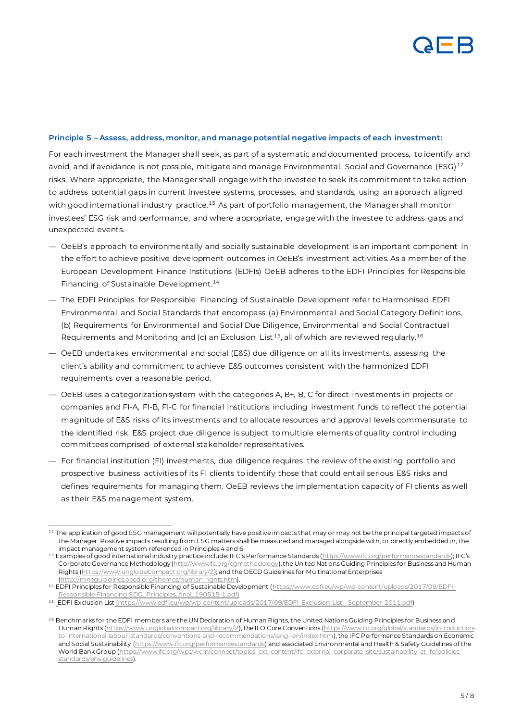

#### **Principle 5 – Assess, address, monitor, and manage potential negative impacts of each investment:**

For each investment the Manager shall seek, as part of a systematic and documented process, to identify and avoid, and if avoidance is not possible, mitigate and manage Environmental, Social and Governance (ESG)<sup>12</sup> risks. Where appropriate, the Manager shall engage with the investee to seek its commitment to take action to address potential gaps in current investee systems, processes, and standards, using an approach aligned with good international industry practice.<sup>13</sup> As part of portfolio management, the Manager shall monitor investees' ESG risk and performance, and where appropriate, engage with the investee to address gaps and unexpected events.

- OeEB's approach to environmentally and socially sustainable development is an important component in the effort to achieve positive development outcomes in OeEB's investment activities. As a member of the European Development Finance Institutions (EDFIs) OeEB adheres to the EDFI Principles for Responsible Financing of Sustainable Development.<sup>14</sup>
- The EDFI Principles for Responsible Financing of Sustainable Development refer to Harmonised EDFI Environmental and Social Standards that encompass (a) Environmental and Social Category Definit ions, (b) Requirements for Environmental and Social Due Diligence, Environmental and Social Contractual Requirements and Monitoring and (c) an Exclusion List<sup>15</sup>, all of which are reviewed regularly.<sup>16</sup>
- OeEB undertakes environmental and social (E&S) due diligence on all its investments, assessing the client's ability and commitment to achieve E&S outcomes consistent with the harmonized EDFI requirements over a reasonable period.
- OeEB uses a categorization system with the categories A, B+, B, C for direct investments in projects or companies and FI-A, FI-B, FI-C for financial institutions including investment funds to reflect the potential magnitude of E&S risks of its investments and to allocate resources and approval levels commensurate to the identified risk. E&S project due diligence is subject to multiple elements of quality control including committees comprised of external stakeholder representatives.
- For financial institution (FI) investments, due diligence requires the review of the existing portfolio and prospective business activities of its FI clients to identify those that could entail serious E&S risks and defines requirements for managing them. OeEB reviews the implementation capacity of FI clients as well as their E&S management system.

<sup>12</sup> The application of good ESG management will potentially have positive impacts that may or may not be the principal targeted impacts of the Manager. Positive impacts resulting from ESG matters shall be measured and managed alongside with, or directly embedded in, the impact management system referenced in Principles 4 and 6.

<sup>13</sup> Examples of good international industry practice include: IFC's Performance Standards (<https://www.ifc.org/performancestandards>); IFC's Corporate Governance Methodolog[y \(http://www.ifc.org/cgmethodology](http://www.ifc.org/cgmethodology)), the United Nations Guiding Principles for Business and Human Rights [\(https://www.unglobalcompact.org/library/2\)](https://www.unglobalcompact.org/library/2); and the OECD Guidelines for Multinational Enterprises [\(http://mneguidelines.oecd.org/themes/human-rights.htm](http://mneguidelines.oecd.org/themes/human-rights.htm)).

<sup>14</sup> EDFI Principles for Responsible Financing of Sustainable Development [\(https://www.edfi.eu/wp/wp-content/uploads/2017/09/EDFI-](https://www.edfi.eu/wp/wp-content/uploads/2017/09/EDFI-Responsible-Financing-SDG_Principles_final_190515-1.pdf)[Responsible-Financing-SDG\\_Principles\\_final\\_190515-1.pdf\)](https://www.edfi.eu/wp/wp-content/uploads/2017/09/EDFI-Responsible-Financing-SDG_Principles_final_190515-1.pdf)

<sup>15</sup> EDFI Exclusion List [\(https://www.edfi.eu/wp/wp-content/uploads/2017/09/EDFI-Exclusion-List\\_-September-2011.pdf](file:///C:/Users/eblum/AppData/Local/Microsoft/Windows/INetCache/Content.Outlook/NYRF11RD/EDFI%20Exclusion%20List%20(https:/www.edfi.eu/wp/wp-content/uploads/2017/09/EDFI-Exclusion-List_-September-2011.pdf))

<sup>16</sup> Benchmarks for the EDFI members are the UN Declaration of Human Rights, the United Nations Guiding Principles for Business and Human Rights [\(https://www.unglobalcompact.org/library/2](https://www.unglobalcompact.org/library/2)), the ILO Core Convention[s \(https://www.ilo.org/global/standards/introduction](https://www.ilo.org/global/standards/introduction-to-international-labour-standards/conventions-and-recommendations/lang--en/index.htm)[to-international-labour-standards/conventions-and-recommendations/lang--en/index.htm](https://www.ilo.org/global/standards/introduction-to-international-labour-standards/conventions-and-recommendations/lang--en/index.htm)), the IFC Performance Standards on Economic and Social Sustainability [\(https://www.ifc.org/performancestandards](https://www.ifc.org/performancestandards)) and associated Environmental and Health & Safety Guidelines of the World Bank Group [\(https://www.ifc.org/wps/wcm/connect/topics\\_ext\\_content/ifc\\_external\\_corporate\\_site/sustainability-at-ifc/policies](https://www.ifc.org/wps/wcm/connect/topics_ext_content/ifc_external_corporate_site/sustainability-at-ifc/policies-standards/ehs-guidelines)[standards/ehs-guidelines\).](https://www.ifc.org/wps/wcm/connect/topics_ext_content/ifc_external_corporate_site/sustainability-at-ifc/policies-standards/ehs-guidelines)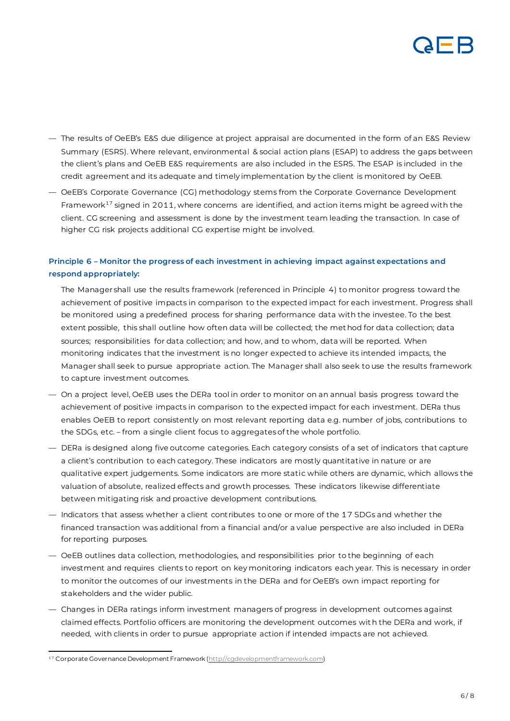

- The results of OeEB's E&S due diligence at project appraisal are documented in the form of an E&S Review Summary (ESRS). Where relevant, environmental & social action plans (ESAP) to address the gaps between the client's plans and OeEB E&S requirements are also included in the ESRS. The ESAP is included in the credit agreement and its adequate and timely implementation by the client is monitored by OeEB.
- OeEB's Corporate Governance (CG) methodology stems from the Corporate Governance Development Framework<sup>17</sup> signed in 2011, where concerns are identified, and action items might be agreed with the client. CG screening and assessment is done by the investment team leading the transaction. In case of higher CG risk projects additional CG expertise might be involved.

# **Principle 6 – Monitor the progress of each investment in achieving impact against expectations and respond appropriately:**

The Manager shall use the results framework (referenced in Principle 4) to monitor progress toward the achievement of positive impacts in comparison to the expected impact for each investment. Progress shall be monitored using a predefined process for sharing performance data with the investee. To the best extent possible, this shall outline how often data will be collected; the method for data collection; data sources; responsibilities for data collection; and how, and to whom, data will be reported. When monitoring indicates that the investment is no longer expected to achieve its intended impacts, the Manager shall seek to pursue appropriate action. The Manager shall also seek to use the results framework to capture investment outcomes.

- On a project level, OeEB uses the DERa tool in order to monitor on an annual basis progress toward the achievement of positive impacts in comparison to the expected impact for each investment. DERa thus enables OeEB to report consistently on most relevant reporting data e.g. number of jobs, contributions to the SDGs, etc. – from a single client focus to aggregates of the whole portfolio.
- DERa is designed along five outcome categories. Each category consists of a set of indicators that capture a client's contribution to each category. These indicators are mostly quantitative in nature or are qualitative expert judgements. Some indicators are more static while others are dynamic, which allows the valuation of absolute, realized effects and growth processes. These indicators likewise differentiate between mitigating risk and proactive development contributions.
- Indicators that assess whether a client contributes to one or more of the 17 SDGs and whether the financed transaction was additional from a financial and/or a value perspective are also included in DERa for reporting purposes.
- OeEB outlines data collection, methodologies, and responsibilities prior to the beginning of each investment and requires clients to report on key monitoring indicators each year. This is necessary in order to monitor the outcomes of our investments in the DERa and for OeEB's own impact reporting for stakeholders and the wider public.
- Changes in DERa ratings inform investment managers of progress in development outcomes against claimed effects. Portfolio officers are monitoring the development outcomes with the DERa and work, if needed, with clients in order to pursue appropriate action if intended impacts are not achieved.

<sup>&</sup>lt;sup>17</sup> [Corporate](file:///C:/Users/eblum/AppData/Local/Microsoft/Windows/INetCache/Content.Outlook/NYRF11RD/Corporate) Governance Development Framewor[k \(http://cgdevelopmentframework.com](http://cgdevelopmentframework.com/))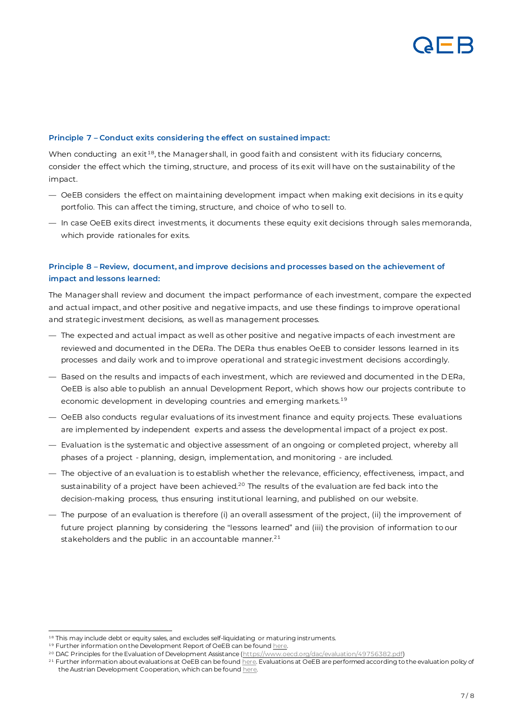## **Principle 7 – Conduct exits considering the effect on sustained impact:**

When conducting an exit<sup>18</sup>, the Manager shall, in good faith and consistent with its fiduciary concerns, consider the effect which the timing, structure, and process of its exit will have on the sustainability of the impact.

- OeEB considers the effect on maintaining development impact when making exit decisions in its equity portfolio. This can affect the timing, structure, and choice of who to sell to.
- In case OeEB exits direct investments, it documents these equity exit decisions through sales memoranda, which provide rationales for exits.

# **Principle 8 – Review, document, and improve decisions and processes based on the achievement of impact and lessons learned:**

The Manager shall review and document the impact performance of each investment, compare the expected and actual impact, and other positive and negative impacts, and use these findings to improve operational and strategic investment decisions, as well as management processes.

- The expected and actual impact as well as other positive and negative impacts of each investment are reviewed and documented in the DERa. The DERa thus enables OeEB to consider lessons learned in its processes and daily work and to improve operational and strategic investment decisions accordingly.
- Based on the results and impacts of each investment, which are reviewed and documented in the DERa, OeEB is also able to publish an annual Development Report, which shows how our projects contribute to economic development in developing countries and emerging markets.<sup>19</sup>
- OeEB also conducts regular evaluations of its investment finance and equity projects. These evaluations are implemented by independent experts and assess the developmental impact of a project ex post.
- Evaluation is the systematic and objective assessment of an ongoing or completed project, whereby all phases of a project - planning, design, implementation, and monitoring - are included.
- The objective of an evaluation is to establish whether the relevance, efficiency, effectiveness, impact, and sustainability of a project have been achieved.<sup>20</sup> The results of the evaluation are fed back into the decision-making process, thus ensuring institutional learning, and published on our website.
- The purpose of an evaluation is therefore (i) an overall assessment of the project, (ii) the improvement of future project planning by considering the "lessons learned" and (iii) the provision of information to our stakeholders and the public in an accountable manner.<sup>21</sup>

<sup>18</sup> This may include debt or equity sales, and excludes self-liquidating or maturing instruments.

<sup>&</sup>lt;sup>19</sup> Further information on the Development Report of OeEB can be foun[d here](https://www.oe-eb.at/en/development-effects/development-effects.html).

<sup>&</sup>lt;sup>20</sup> DAC Principles for the Evaluation of Development Assistance [\(https://www.oecd.org/dac/evaluation/49756382.pdf](https://www.oecd.org/dac/evaluation/49756382.pdf))

 $^\mathrm{21}$  Further information about evaluations at OeEB can be found  $_\mathrm{here.}$  Evaluations at OeEB are performed according to the evaluation policy of the Austrian Development Cooperation, which can be foun[d here.](https://www.entwicklung.at/fileadmin/user_upload/Dokumente/Evaluierung/Englisch/Evaluationpolicy.pdf)